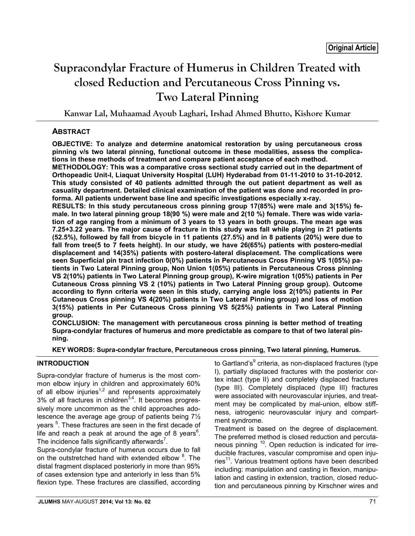# **Supracondylar Fracture of Humerus in Children Treated with closed Reduction and Percutaneous Cross Pinning vs. Two Lateral Pinning**

**Kanwar Lal, Muhaamad Ayoub Laghari, Irshad Ahmed Bhutto, Kishore Kumar**

# **ABSTRACT**

**OBJECTIVE: To analyze and determine anatomical restoration by using percutaneous cross pinning v/s two lateral pinning, functional outcome in these modalities, assess the complications in these methods of treatment and compare patient acceptance of each method.**

**METHODOLOGY: This was a comparative cross sectional study carried out in the department of Orthopeadic Unit-I, Liaquat University Hospital (LUH) Hyderabad from 01-11-2010 to 31-10-2012. This study consisted of 40 patients admitted through the out patient department as well as casuality department. Detailed clinical examination of the patient was done and recorded in proforma. All patients underwent base line and specific investigations especially x-ray.** 

**RESULTS: In this study percutaneous cross pinning group 17(85%) were male and 3(15%) female. In two lateral pinning group 18(90 %) were male and 2(10 %) female. There was wide variation of age ranging from a minimum of 3 years to 13 years in both groups. The mean age was 7.25+3.22 years. The major cause of fracture in this study was fall while playing in 21 patients (52.5%), followed by fall from bicycle in 11 patients (27.5%) and in 8 patients (20%) were due to fall from tree(5 to 7 feets height). In our study, we have 26(65%) patients with postero-medial displacement and 14(35%) patients with postero-lateral displacement. The complications were seen Superficial pin tract infection 0(0%) patients in Percutaneous Cross Pinning VS 1(05%) patients in Two Lateral Pinning group, Non Union 1(05%) patients in Percutaneous Cross pinning VS 2(10%) patients in Two Lateral Pinning group group), K-wire migration 1(05%) patients in Per Cutaneous Cross pinning VS 2 (10%) patients in Two Lateral Pinning group group). Outcome according to flynn criteria were seen in this study, carrying angle loss 2(10%) patients in Per Cutaneous Cross pinning VS 4(20%) patients in Two Lateral Pinning group) and loss of motion 3(15%) patients in Per Cutaneous Cross pinning VS 5(25%) patients in Two Lateral Pinning group.**

**CONCLUSION: The management with percutaneous cross pinning is better method of treating Supra-condylar fractures of humerus and more predictable as compare to that of two lateral pinning.**

**KEY WORDS: Supra-condylar fracture, Percutaneous cross pinning, Two lateral pinning, Humerus.**

# **INTRODUCTION**

Supra-condylar fracture of humerus is the most common elbow injury in children and approximately 60% of all elbow injuries<sup>1,2</sup> and represents approximately  $3\%$  of all fractures in children<sup>3,4</sup>. It becomes progressively more uncommon as the child approaches adolescence the average age group of patients being 7½ years<sup>5</sup>. These fractures are seen in the first decade of life and reach a peak at around the age of 8 years $^6$ . The incidence falls significantly afterwards<sup>7</sup>.

Supra-condylar fracture of humerus occurs due to fall on the outstretched hand with extended elbow <sup>8</sup>. The distal fragment displaced posteriorly in more than 95% of cases extension type and anteriorly in less than 5% flexion type. These fractures are classified, according

to Gartland's<sup>9</sup> criteria, as non-displaced fractures (type I), partially displaced fractures with the posterior cortex intact (type II) and completely displaced fractures (type III). Completely displaced (type III) fractures were associated with neurovascular injuries, and treatment may be complicated by mal-union, elbow stiffness, iatrogenic neurovascular injury and compartment syndrome.

Treatment is based on the degree of displacement. The preferred method is closed reduction and percutaneous pinning 10. Open reduction is indicated for irreducible fractures, vascular compromise and open injuries<sup>11</sup>. Various treatment options have been described including: manipulation and casting in flexion, manipulation and casting in extension, traction, closed reduction and percutaneous pinning by Kirschner wires and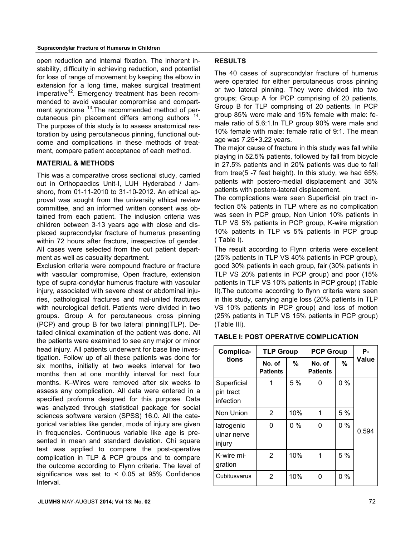#### **Supracondylar Fracture of Humerus in Children**

open reduction and internal fixation. The inherent instability, difficulty in achieving reduction, and potential for loss of range of movement by keeping the elbow in extension for a long time, makes surgical treatment imperative<sup>12</sup>. Emergency treatment has been recommended to avoid vascular compromise and compartment syndrome <sup>13</sup>. The recommended method of percutaneous pin placement differs among authors  $14$ . The purpose of this study is to assess anatomical restoration by using percutaneous pinning, functional outcome and complications in these methods of treatment, compare patient acceptance of each method.

## **MATERIAL & METHODS**

This was a comparative cross sectional study, carried out in Orthopaedics Unit-I, LUH Hyderabad / Jamshoro, from 01-11-2010 to 31-10-2012. An ethical approval was sought from the university ethical review committee, and an informed written consent was obtained from each patient. The inclusion criteria was children between 3-13 years age with close and displaced supracondylar fracture of humerus presenting within 72 hours after fracture, irrespective of gender. All cases were selected from the out patient department as well as casuality department.

Exclusion criteria were compound fracture or fracture with vascular compromise, Open fracture, extension type of supra-condylar humerus fracture with vascular injury, associated with severe chest or abdominal injuries, pathological fractures and mal-united fractures with neurological deficit. Patients were divided in two groups. Group A for percutaneous cross pinning (PCP) and group B for two lateral pinning(TLP). Detailed clinical examination of the patient was done. All the patients were examined to see any major or minor head injury. All patients underwent for base line investigation. Follow up of all these patients was done for six months, initially at two weeks interval for two months then at one monthly interval for next four months. K–Wires were removed after six weeks to assess any complication. All data were entered in a specified proforma designed for this purpose. Data was analyzed through statistical package for social sciences software version (SPSS) 16.0. All the categorical variables like gender, mode of injury are given in frequencies. Continuous variable like age is presented in mean and standard deviation. Chi square test was applied to compare the post-operative complication in TLP & PCP groups and to compare the outcome according to Flynn criteria. The level of significance was set to  $< 0.05$  at 95% Confidence Interval.

#### **RESULTS**

The 40 cases of supracondylar fracture of humerus were operated for either percutaneous cross pinning or two lateral pinning. They were divided into two groups; Group A for PCP comprising of 20 patients, Group B for TLP comprising of 20 patients. In PCP group 85% were male and 15% female with male: female ratio of 5.6:1.In TLP group 90% were male and 10% female with male: female ratio of 9:1. The mean age was 7.25+3.22 years.

The major cause of fracture in this study was fall while playing in 52.5% patients, followed by fall from bicycle in 27.5% patients and in 20% patients was due to fall from tree(5 -7 feet height). In this study, we had 65% patients with postero-medial displacement and 35% patients with postero-lateral displacement.

The complications were seen Superficial pin tract infection 5% patients in TLP where as no complication was seen in PCP group, Non Union 10% patients in TLP VS 5% patients in PCP group, K-wire migration 10% patients in TLP vs 5% patients in PCP group ( Table I).

The result according to Flynn criteria were excellent (25% patients in TLP VS 40% patients in PCP group), good 30% patients in each group, fair (30% patients in TLP VS 20% patients in PCP group) and poor (15% patients in TLP VS 10% patients in PCP group) (Table II).The outcome according to flynn criteria were seen in this study, carrying angle loss (20% patients in TLP VS 10% patients in PCP group) and loss of motion (25% patients in TLP VS 15% patients in PCP group) (Table III).

#### **TABLE I: POST OPERATIVE COMPLICATION**

| Complica-<br>tions                    | <b>TLP Group</b>          |       | <b>PCP Group</b>          |                    | Ρ.    |
|---------------------------------------|---------------------------|-------|---------------------------|--------------------|-------|
|                                       | No. of<br><b>Patients</b> | %     | No. of<br><b>Patients</b> | $\%$               | Value |
| Superficial<br>pin tract<br>infection | 1                         | 5 %   | 0                         | 0%                 |       |
| Non Union                             | 2                         | 10%   | 1                         | 5 %                |       |
| latrogenic<br>ulnar nerve<br>injury   | 0                         | $0\%$ | 0                         | $0\%$              | 0.594 |
| K-wire mi-<br>gration                 | 2                         | 10%   | 1                         | 5 %                |       |
| Cubitusvarus                          | 2                         | 10%   | 0                         | $\frac{0}{0}$<br>0 |       |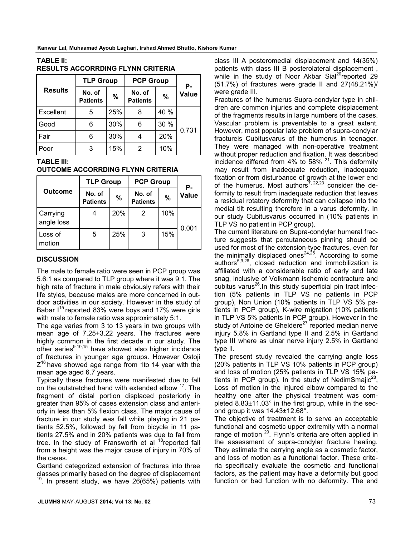| <b>Results</b> | <b>TLP Group</b>          |     | <b>PCP Group</b>          |      | Ρ.           |
|----------------|---------------------------|-----|---------------------------|------|--------------|
|                | No. of<br><b>Patients</b> | %   | No. of<br><b>Patients</b> | $\%$ | <b>Value</b> |
| Excellent      | 5                         | 25% | 8                         | 40 % | 0.731        |
| Good           | 6                         | 30% | 6                         | 30 % |              |
| Fair           | 6                         | 30% |                           | 20%  |              |
| Poor           | 3                         | 15% | 2                         | 10%  |              |

## **TABLE II: RESULTS ACCORRDING FLYNN CRITERIA**

# **TABLE III:**

#### **OUTCOME ACCORRDING FLYNN CRITERIA**

|                            | <b>TLP Group</b>          |     | <b>PCP Group</b>          |     | Р.    |
|----------------------------|---------------------------|-----|---------------------------|-----|-------|
| <b>Outcome</b>             | No. of<br><b>Patients</b> | %   | No. of<br><b>Patients</b> | %   | Value |
| Carrying<br>angle loss     |                           | 20% |                           | 10% | 0.001 |
| Loss of<br><b>I</b> motion | 5                         | 25% | 3                         | 15% |       |

## **DISCUSSION**

The male to female ratio were seen in PCP group was 5.6:1 as compared to TLP group where it was 9:1. The high rate of fracture in male obviously refers with their life styles, because males are more concerned in outdoor activities in our society. However in the study of Babar  $1^{15}$  reported 83% were boys and 17% were girls with male to female ratio was approximately 5:1.

The age varies from 3 to 13 years in two groups with mean age of 7.25+3.22 years. The fractures were highly common in the first decade in our study. The other series<sup>9,10,15</sup> have showed also higher incidence of fractures in younger age groups. However Ostoji  $Z^{16}$  have showed age range from 1to 14 year with the mean age aged 6.7 years.

Typically these fractures were manifested due to fall on the outstretched hand with extended elbow <sup>17</sup>. The fragment of distal portion displaced posteriorly in greater than 95% of cases extension class and anteriorly in less than 5% flexion class. The major cause of fracture in our study was fall while playing in 21 patients 52.5%, followed by fall from bicycle in 11 patients 27.5% and in 20% patients was due to fall from tree. In the study of Fransworth et al  $18$  reported fall from a height was the major cause of injury in 70% of the cases.

Gartland categorized extension of fractures into three classes primarily based on the degree of displacement  $19$ . In present study, we have 26(65%) patients with class III A posteromedial displacement and 14(35%) patients with class III B posterolateral displacement , while in the study of Noor Akbar Sial<sup>20</sup>reported 29 (51.7%) of fractures were grade II and 27(48.21%)/ were grade III.

Fractures of the humerus Supra-condylar type in children are common injuries and complete displacement of the fragments results in large numbers of the cases. Vascular problem is preventable to a great extent. However, most popular late problem of supra-condylar fractureis Cubitusvarus of the humerus in teenager. They were managed with non-operative treatment without proper reduction and fixation. It was described incidence differed from  $4\%$  to 58%  $^{21}$ . This deformity may result from inadequate reduction, inadequate fixation or from disturbance of growth at the lower end of the humerus. Most authors<sup>7, 22,23</sup> consider the deformity to result from inadequate reduction that leaves a residual rotatory deformity that can collapse into the medial tilt resulting therefore in a varus deformity. In our study Cubitusvarus occurred in (10% patients in TLP VS no patient in PCP group).

The current literature on Supra-condylar humeral fracture suggests that percutaneous pinning should be used for most of the extension-type fractures, even for the minimally displaced ones<sup>24,25</sup>. According to some authors<sup>5,9,26</sup>, closed reduction and immobilization is affiliated with a considerable ratio of early and late snag, inclusive of Volkmann ischemic contracture and cubitus varus<sup>26</sup>.In this study superficial pin tract infection (5% patients in TLP VS no patients in PCP group), Non Union (10% patients in TLP VS 5% patients in PCP group), K-wire migration (10% patients in TLP VS 5% patients in PCP group). However in the study of Antoine de Gheldere<sup>27</sup> reported median nerve injury 5.8% in Gartland type II and 2.5% in Gartland type III where as ulnar nerve injury 2.5% in Gartland type II.

The present study revealed the carrying angle loss (20% patients in TLP VS 10% patients in PCP group) and loss of motion (25% patients in TLP VS 15% patients in PCP group). In the study of NedimSmaji $c^{28}$ , Loss of motion in the injured elbow compared to the healthy one after the physical treatment was completed 8.83±11.03° in the first group, while in the second group it was 14.43±12.68°.

The objective of treatment is to serve an acceptable functional and cosmetic upper extremity with a normal range of motion <sup>29</sup>. Flynn's criteria are often applied in the assessment of supra-condylar fracture healing. They estimate the carrying angle as a cosmetic factor, and loss of motion as a functional factor. These criteria specifically evaluate the cosmetic and functional factors, as the patient may have a deformity but good function or bad function with no deformity. The end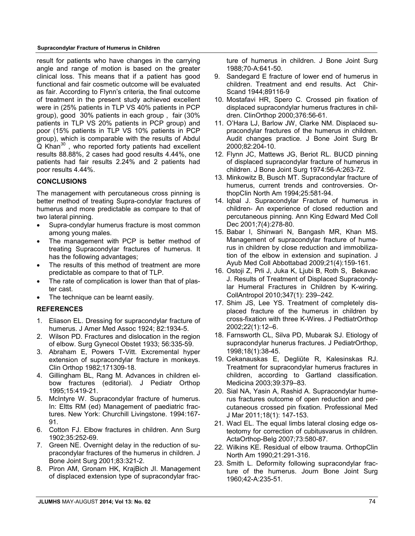#### **Supracondylar Fracture of Humerus in Children**

result for patients who have changes in the carrying angle and range of motion is based on the greater clinical loss. This means that if a patient has good functional and fair cosmetic outcome will be evaluated as fair. According to Flynn's criteria, the final outcome of treatment in the present study achieved excellent were in (25% patients in TLP VS 40% patients in PCP group), good 30% patients in each group , fair (30% patients in TLP VS 20% patients in PCP group) and poor (15% patients in TLP VS 10% patients in PCP group), which is comparable with the results of Abdul  $\alpha$  Khan<sup>30</sup>, who reported forty patients had excellent results 88.88%, 2 cases had good results 4.44%, one patients had fair results 2.24% and 2 patients had poor results 4.44%.

#### **CONCLUSIONS**

The management with percutaneous cross pinning is better method of treating Supra-condylar fractures of humerus and more predictable as compare to that of two lateral pinning.

- Supra-condylar humerus fracture is most common among young males.
- The management with PCP is better method of treating Supracondylar fractures of humerus. It has the following advantages;
- The results of this method of treatment are more predictable as compare to that of TLP.
- The rate of complication is lower than that of plaster cast.
- The technique can be learnt easily.

# **REFERENCES**

- 1. Eliason EL. Dressing for supracondylar fracture of humerus. J Amer Med Assoc 1924; 82:1934-5.
- 2. Wilson PD. Fractures and dislocation in the region of elbow. Surg Gynecol Obstet 1933; 56:335-59.
- 3. Abraham E, Powers T-Vitt. Excremental hyper extension of supracondylar fracture in monkeys. Clin Orthop 1982;171309-18.
- 4. Gillingham BL, Rang M. Advances in children elbow fractures (editorial). J Pediatr Orthop 1995;15:419-21.
- 5. McIntyre W. Supracondylar fracture of humerus. In: Eltts RM (ed) Management of paediatric fractures. New York: Churchill Livingstone. 1994:167- 91.
- 6. Cotton FJ. Elbow fractures in children. Ann Surg 1902;35:252-69.
- 7. Green NE. Overnight delay in the reduction of supracondylar fractures of the humerus in children. J Bone Joint Surg 2001;83:321-2.
- 8. Piron AM, Gronam HK, KrajBich JI. Management of displaced extension type of supracondylar frac-

ture of humerus in children. J Bone Joint Surg 1988;70-A:641-50.

- 9. Sandegard E fracture of lower end of humerus in children. Treatment and end results. Act Chir-Scand 1944;89116-9
- 10. Mostafavi HR, Spero C. Crossed pin fixation of displaced supracondylar humerus fractures in children. ClinOrthop 2000;376:56-61.
- 11. O'Hara LJ, Barlow JW, Clarke NM. Displaced supracondylar fractures of the humerus in children. Audit changes practice. J Bone Joint Surg Br 2000;82:204-10.
- 12. Flynn JC, Mattews JG, Beriot RL. BUCD pinning of displaced supracondylar fracture of humerus in children. J Bone Joint Surg 1974:56-A:263-72.
- 13. Minkowitz B, Busch MT. Supracondylar fracture of humerus, current trends and controversies. OrthopClin North Am 1994;25:581-94.
- 14. Iqbal J. Supracondylar Fracture of humerus in children- An experience of closed reduction and percutaneous pinning. Ann King Edward Med Coll Dec 2001;7(4):278-80.
- 15. Babar I, Shinwari N, Bangash MR, Khan MS. Management of supracondylar fracture of humerus in children by close reduction and immobilization of the elbow in extension and supination. J Ayub Med Coll Abbottabad 2009;21(4):159-161.
- 16. Ostoji Z, Prli J, Juka K, Ljubi B, Roth S, Bekavac J. Results of Treatment of Displaced Supracondylar Humeral Fractures in Children by K-wiring. CollAntropol 2010;347(1): 239–242.
- 17. Shim JS, Lee YS. Treatment of completely displaced fracture of the humerus in children by cross-fixation with three K-Wires. J PedtiatrOrthop 2002;22(1):12–6.
- 18. Farnsworth CL, Silva PD, Mubarak SJ. Etiology of supracondylar hunerus fractures. J PediatrOrthop, 1998;18(1):38-45.
- 19. Cekanauskas E, Degliūte R, Kalesinskas RJ. Treatment for supracondylar humerus fractures in children, according to Gartland classification. Medicina 2003;39:379–83.
- 20. Sial NA, Yasin A, Rashid A. Supracondylar humerus fractures outcome of open reduction and percutaneous crossed pin fixation. Professional Med J Mar 2011;18(1): 147-153.
- 21. Wacl EL. The equal limbs lateral closing edge osteotomy for correction of cubitusvarus in children. ActaOrthop-Belg 2007;73:580-87.
- 22. Wilkins KE. Residual of elbow trauma. OrthopClin North Am 1990;21:291-316.
- 23. Smith L. Deformity following supracondylar fracture of the humerus. Journ Bone Joint Surg 1960;42-A:235-51.